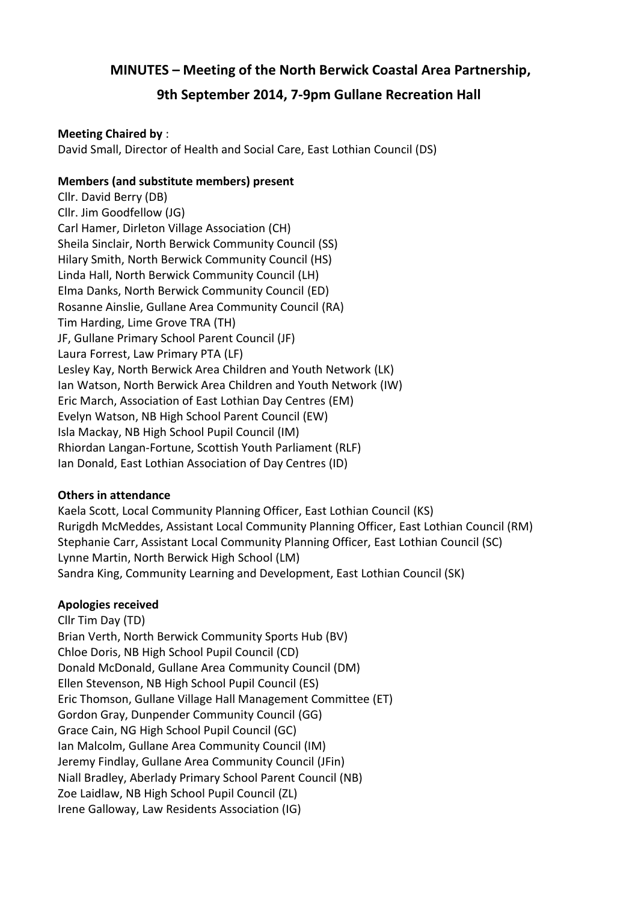# **MINUTES – Meeting of the North Berwick Coastal Area Partnership,**

# **9th September 2014, 7-9pm Gullane Recreation Hall**

#### **Meeting Chaired by** :

David Small, Director of Health and Social Care, East Lothian Council (DS)

#### **Members (and substitute members) present**

Cllr. David Berry (DB) Cllr. Jim Goodfellow (JG) Carl Hamer, Dirleton Village Association (CH) Sheila Sinclair, North Berwick Community Council (SS) Hilary Smith, North Berwick Community Council (HS) Linda Hall, North Berwick Community Council (LH) Elma Danks, North Berwick Community Council (ED) Rosanne Ainslie, Gullane Area Community Council (RA) Tim Harding, Lime Grove TRA (TH) JF, Gullane Primary School Parent Council (JF) Laura Forrest, Law Primary PTA (LF) Lesley Kay, North Berwick Area Children and Youth Network (LK) Ian Watson, North Berwick Area Children and Youth Network (IW) Eric March, Association of East Lothian Day Centres (EM) Evelyn Watson, NB High School Parent Council (EW) Isla Mackay, NB High School Pupil Council (IM) Rhiordan Langan-Fortune, Scottish Youth Parliament (RLF) Ian Donald, East Lothian Association of Day Centres (ID)

## **Others in attendance**

Kaela Scott, Local Community Planning Officer, East Lothian Council (KS) Rurigdh McMeddes, Assistant Local Community Planning Officer, East Lothian Council (RM) Stephanie Carr, Assistant Local Community Planning Officer, East Lothian Council (SC) Lynne Martin, North Berwick High School (LM) Sandra King, Community Learning and Development, East Lothian Council (SK)

#### **Apologies received**

Cllr Tim Day (TD) Brian Verth, North Berwick Community Sports Hub (BV) Chloe Doris, NB High School Pupil Council (CD) Donald McDonald, Gullane Area Community Council (DM) Ellen Stevenson, NB High School Pupil Council (ES) Eric Thomson, Gullane Village Hall Management Committee (ET) Gordon Gray, Dunpender Community Council (GG) Grace Cain, NG High School Pupil Council (GC) Ian Malcolm, Gullane Area Community Council (IM) Jeremy Findlay, Gullane Area Community Council (JFin) Niall Bradley, Aberlady Primary School Parent Council (NB) Zoe Laidlaw, NB High School Pupil Council (ZL) Irene Galloway, Law Residents Association (IG)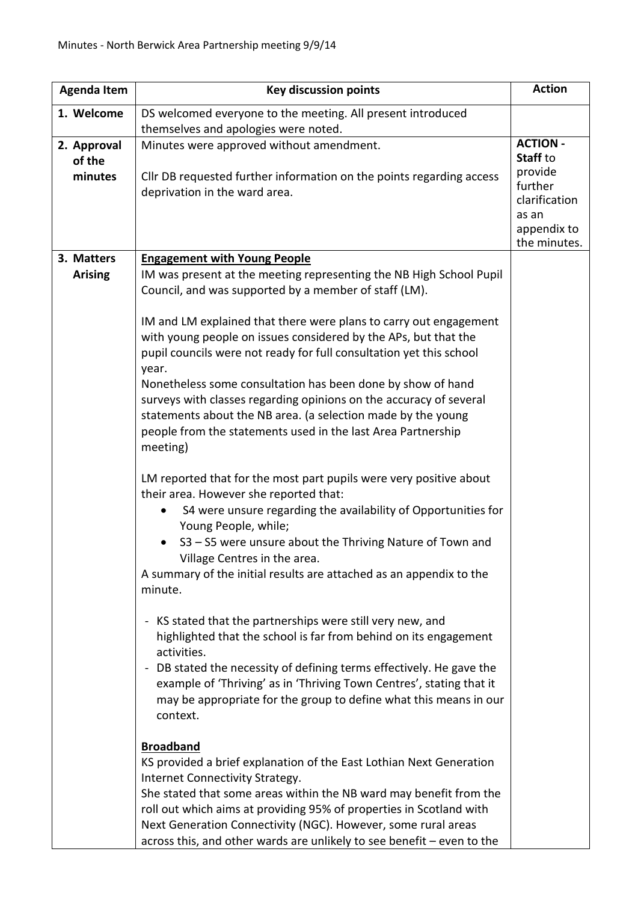| <b>Agenda Item</b> | <b>Key discussion points</b>                                                                          | <b>Action</b>                                                               |
|--------------------|-------------------------------------------------------------------------------------------------------|-----------------------------------------------------------------------------|
| 1. Welcome         | DS welcomed everyone to the meeting. All present introduced                                           |                                                                             |
|                    | themselves and apologies were noted.                                                                  |                                                                             |
| 2. Approval        | Minutes were approved without amendment.                                                              | <b>ACTION -</b>                                                             |
| of the             |                                                                                                       | Staff to                                                                    |
| minutes            | Cllr DB requested further information on the points regarding access<br>deprivation in the ward area. | provide<br>further<br>clarification<br>as an<br>appendix to<br>the minutes. |
| 3. Matters         | <b>Engagement with Young People</b>                                                                   |                                                                             |
| <b>Arising</b>     | IM was present at the meeting representing the NB High School Pupil                                   |                                                                             |
|                    | Council, and was supported by a member of staff (LM).                                                 |                                                                             |
|                    | IM and LM explained that there were plans to carry out engagement                                     |                                                                             |
|                    | with young people on issues considered by the APs, but that the                                       |                                                                             |
|                    | pupil councils were not ready for full consultation yet this school                                   |                                                                             |
|                    | year.<br>Nonetheless some consultation has been done by show of hand                                  |                                                                             |
|                    | surveys with classes regarding opinions on the accuracy of several                                    |                                                                             |
|                    | statements about the NB area. (a selection made by the young                                          |                                                                             |
|                    | people from the statements used in the last Area Partnership                                          |                                                                             |
|                    | meeting)                                                                                              |                                                                             |
|                    |                                                                                                       |                                                                             |
|                    | LM reported that for the most part pupils were very positive about                                    |                                                                             |
|                    | their area. However she reported that:                                                                |                                                                             |
|                    | S4 were unsure regarding the availability of Opportunities for<br>Young People, while;                |                                                                             |
|                    | S3 - S5 were unsure about the Thriving Nature of Town and                                             |                                                                             |
|                    | Village Centres in the area.                                                                          |                                                                             |
|                    | A summary of the initial results are attached as an appendix to the                                   |                                                                             |
|                    | minute.                                                                                               |                                                                             |
|                    | - KS stated that the partnerships were still very new, and                                            |                                                                             |
|                    | highlighted that the school is far from behind on its engagement                                      |                                                                             |
|                    | activities.                                                                                           |                                                                             |
|                    | - DB stated the necessity of defining terms effectively. He gave the                                  |                                                                             |
|                    | example of 'Thriving' as in 'Thriving Town Centres', stating that it                                  |                                                                             |
|                    | may be appropriate for the group to define what this means in our                                     |                                                                             |
|                    | context.                                                                                              |                                                                             |
|                    |                                                                                                       |                                                                             |
|                    | <b>Broadband</b>                                                                                      |                                                                             |
|                    | KS provided a brief explanation of the East Lothian Next Generation                                   |                                                                             |
|                    | Internet Connectivity Strategy.<br>She stated that some areas within the NB ward may benefit from the |                                                                             |
|                    | roll out which aims at providing 95% of properties in Scotland with                                   |                                                                             |
|                    | Next Generation Connectivity (NGC). However, some rural areas                                         |                                                                             |
|                    | across this, and other wards are unlikely to see benefit - even to the                                |                                                                             |
|                    |                                                                                                       |                                                                             |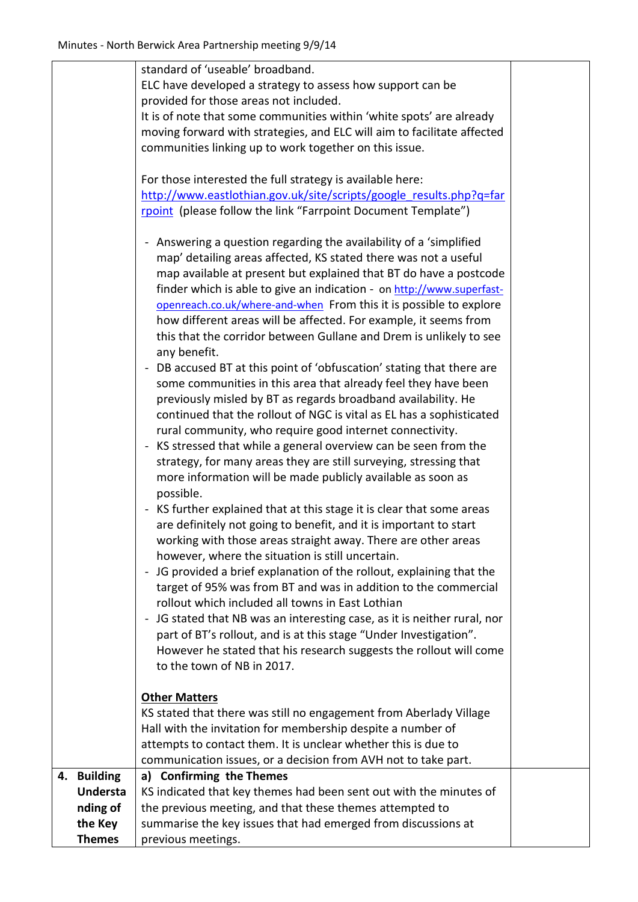|    |                 | standard of 'useable' broadband.                                         |  |
|----|-----------------|--------------------------------------------------------------------------|--|
|    |                 | ELC have developed a strategy to assess how support can be               |  |
|    |                 | provided for those areas not included.                                   |  |
|    |                 | It is of note that some communities within 'white spots' are already     |  |
|    |                 | moving forward with strategies, and ELC will aim to facilitate affected  |  |
|    |                 | communities linking up to work together on this issue.                   |  |
|    |                 |                                                                          |  |
|    |                 | For those interested the full strategy is available here:                |  |
|    |                 | http://www.eastlothian.gov.uk/site/scripts/google results.php?q=far      |  |
|    |                 |                                                                          |  |
|    |                 | rpoint (please follow the link "Farrpoint Document Template")            |  |
|    |                 |                                                                          |  |
|    |                 | - Answering a question regarding the availability of a 'simplified       |  |
|    |                 | map' detailing areas affected, KS stated there was not a useful          |  |
|    |                 | map available at present but explained that BT do have a postcode        |  |
|    |                 | finder which is able to give an indication - on http://www.superfast-    |  |
|    |                 | openreach.co.uk/where-and-when From this it is possible to explore       |  |
|    |                 | how different areas will be affected. For example, it seems from         |  |
|    |                 | this that the corridor between Gullane and Drem is unlikely to see       |  |
|    |                 | any benefit.                                                             |  |
|    |                 | - DB accused BT at this point of 'obfuscation' stating that there are    |  |
|    |                 | some communities in this area that already feel they have been           |  |
|    |                 | previously misled by BT as regards broadband availability. He            |  |
|    |                 | continued that the rollout of NGC is vital as EL has a sophisticated     |  |
|    |                 |                                                                          |  |
|    |                 | rural community, who require good internet connectivity.                 |  |
|    |                 | - KS stressed that while a general overview can be seen from the         |  |
|    |                 | strategy, for many areas they are still surveying, stressing that        |  |
|    |                 | more information will be made publicly available as soon as              |  |
|    |                 | possible.                                                                |  |
|    |                 | - KS further explained that at this stage it is clear that some areas    |  |
|    |                 | are definitely not going to benefit, and it is important to start        |  |
|    |                 | working with those areas straight away. There are other areas            |  |
|    |                 | however, where the situation is still uncertain.                         |  |
|    |                 | - JG provided a brief explanation of the rollout, explaining that the    |  |
|    |                 | target of 95% was from BT and was in addition to the commercial          |  |
|    |                 | rollout which included all towns in East Lothian                         |  |
|    |                 | - JG stated that NB was an interesting case, as it is neither rural, nor |  |
|    |                 |                                                                          |  |
|    |                 | part of BT's rollout, and is at this stage "Under Investigation".        |  |
|    |                 | However he stated that his research suggests the rollout will come       |  |
|    |                 | to the town of NB in 2017.                                               |  |
|    |                 |                                                                          |  |
|    |                 | <b>Other Matters</b>                                                     |  |
|    |                 | KS stated that there was still no engagement from Aberlady Village       |  |
|    |                 | Hall with the invitation for membership despite a number of              |  |
|    |                 | attempts to contact them. It is unclear whether this is due to           |  |
|    |                 | communication issues, or a decision from AVH not to take part.           |  |
| 4. | <b>Building</b> | a) Confirming the Themes                                                 |  |
|    | <b>Understa</b> | KS indicated that key themes had been sent out with the minutes of       |  |
|    | nding of        | the previous meeting, and that these themes attempted to                 |  |
|    | the Key         | summarise the key issues that had emerged from discussions at            |  |
|    | <b>Themes</b>   | previous meetings.                                                       |  |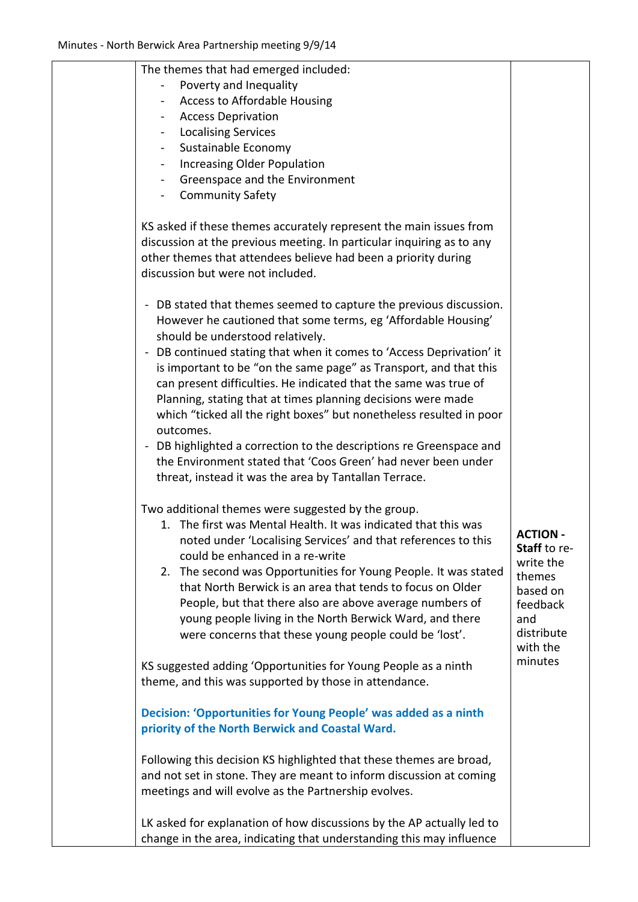| The themes that had emerged included:                                                                                                                                                                                                                                                                                                                             |                     |
|-------------------------------------------------------------------------------------------------------------------------------------------------------------------------------------------------------------------------------------------------------------------------------------------------------------------------------------------------------------------|---------------------|
| Poverty and Inequality                                                                                                                                                                                                                                                                                                                                            |                     |
| Access to Affordable Housing                                                                                                                                                                                                                                                                                                                                      |                     |
| <b>Access Deprivation</b>                                                                                                                                                                                                                                                                                                                                         |                     |
| <b>Localising Services</b>                                                                                                                                                                                                                                                                                                                                        |                     |
| Sustainable Economy                                                                                                                                                                                                                                                                                                                                               |                     |
| <b>Increasing Older Population</b>                                                                                                                                                                                                                                                                                                                                |                     |
| Greenspace and the Environment                                                                                                                                                                                                                                                                                                                                    |                     |
| <b>Community Safety</b>                                                                                                                                                                                                                                                                                                                                           |                     |
| KS asked if these themes accurately represent the main issues from<br>discussion at the previous meeting. In particular inquiring as to any<br>other themes that attendees believe had been a priority during<br>discussion but were not included.                                                                                                                |                     |
| - DB stated that themes seemed to capture the previous discussion.<br>However he cautioned that some terms, eg 'Affordable Housing'<br>should be understood relatively.                                                                                                                                                                                           |                     |
| - DB continued stating that when it comes to 'Access Deprivation' it<br>is important to be "on the same page" as Transport, and that this<br>can present difficulties. He indicated that the same was true of<br>Planning, stating that at times planning decisions were made<br>which "ticked all the right boxes" but nonetheless resulted in poor<br>outcomes. |                     |
| - DB highlighted a correction to the descriptions re Greenspace and<br>the Environment stated that 'Coos Green' had never been under<br>threat, instead it was the area by Tantallan Terrace.                                                                                                                                                                     |                     |
| Two additional themes were suggested by the group.                                                                                                                                                                                                                                                                                                                |                     |
| 1. The first was Mental Health. It was indicated that this was                                                                                                                                                                                                                                                                                                    |                     |
| noted under 'Localising Services' and that references to this                                                                                                                                                                                                                                                                                                     | <b>ACTION -</b>     |
| could be enhanced in a re-write                                                                                                                                                                                                                                                                                                                                   | Staff to re-        |
| 2. The second was Opportunities for Young People. It was stated                                                                                                                                                                                                                                                                                                   | write the           |
| that North Berwick is an area that tends to focus on Older                                                                                                                                                                                                                                                                                                        | themes<br>based on  |
| People, but that there also are above average numbers of                                                                                                                                                                                                                                                                                                          | feedback            |
| young people living in the North Berwick Ward, and there                                                                                                                                                                                                                                                                                                          | and                 |
| were concerns that these young people could be 'lost'.                                                                                                                                                                                                                                                                                                            | distribute          |
| KS suggested adding 'Opportunities for Young People as a ninth<br>theme, and this was supported by those in attendance.                                                                                                                                                                                                                                           | with the<br>minutes |
|                                                                                                                                                                                                                                                                                                                                                                   |                     |
| Decision: 'Opportunities for Young People' was added as a ninth<br>priority of the North Berwick and Coastal Ward.                                                                                                                                                                                                                                                |                     |
| Following this decision KS highlighted that these themes are broad,<br>and not set in stone. They are meant to inform discussion at coming<br>meetings and will evolve as the Partnership evolves.                                                                                                                                                                |                     |
| LK asked for explanation of how discussions by the AP actually led to<br>change in the area, indicating that understanding this may influence                                                                                                                                                                                                                     |                     |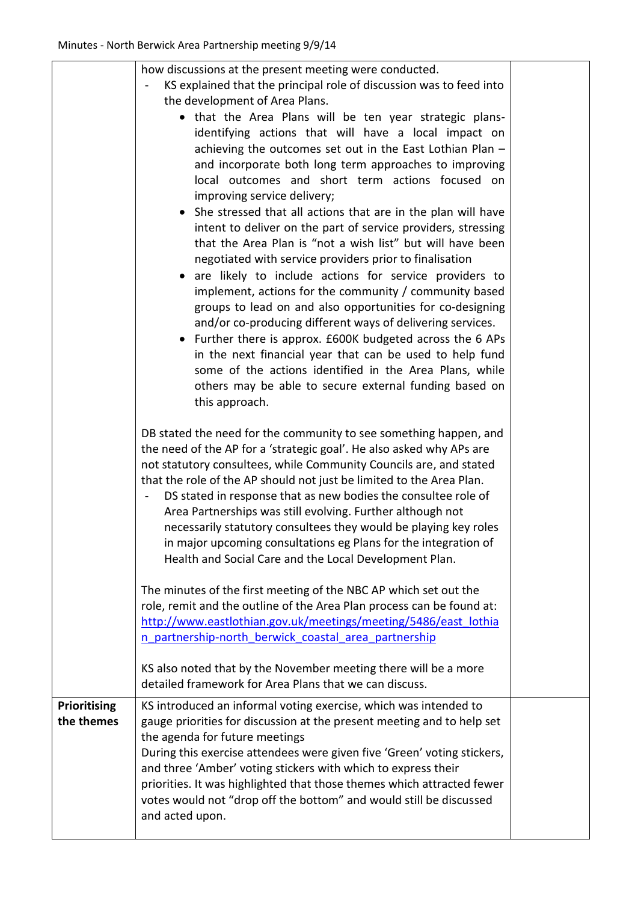|              | how discussions at the present meeting were conducted.<br>KS explained that the principal role of discussion was to feed into<br>the development of Area Plans.<br>• that the Area Plans will be ten year strategic plans-<br>identifying actions that will have a local impact on<br>achieving the outcomes set out in the East Lothian Plan -<br>and incorporate both long term approaches to improving<br>local outcomes and short term actions focused on<br>improving service delivery;<br>She stressed that all actions that are in the plan will have<br>intent to deliver on the part of service providers, stressing<br>that the Area Plan is "not a wish list" but will have been<br>negotiated with service providers prior to finalisation<br>are likely to include actions for service providers to<br>implement, actions for the community / community based<br>groups to lead on and also opportunities for co-designing<br>and/or co-producing different ways of delivering services.<br>Further there is approx. £600K budgeted across the 6 APs<br>in the next financial year that can be used to help fund<br>some of the actions identified in the Area Plans, while<br>others may be able to secure external funding based on<br>this approach.<br>DB stated the need for the community to see something happen, and<br>the need of the AP for a 'strategic goal'. He also asked why APs are<br>not statutory consultees, while Community Councils are, and stated<br>that the role of the AP should not just be limited to the Area Plan.<br>DS stated in response that as new bodies the consultee role of<br>$\overline{\phantom{0}}$<br>Area Partnerships was still evolving. Further although not<br>necessarily statutory consultees they would be playing key roles<br>in major upcoming consultations eg Plans for the integration of<br>Health and Social Care and the Local Development Plan.<br>The minutes of the first meeting of the NBC AP which set out the<br>role, remit and the outline of the Area Plan process can be found at:<br>http://www.eastlothian.gov.uk/meetings/meeting/5486/east lothia<br>n partnership-north berwick coastal area partnership<br>KS also noted that by the November meeting there will be a more<br>detailed framework for Area Plans that we can discuss. |  |
|--------------|-----------------------------------------------------------------------------------------------------------------------------------------------------------------------------------------------------------------------------------------------------------------------------------------------------------------------------------------------------------------------------------------------------------------------------------------------------------------------------------------------------------------------------------------------------------------------------------------------------------------------------------------------------------------------------------------------------------------------------------------------------------------------------------------------------------------------------------------------------------------------------------------------------------------------------------------------------------------------------------------------------------------------------------------------------------------------------------------------------------------------------------------------------------------------------------------------------------------------------------------------------------------------------------------------------------------------------------------------------------------------------------------------------------------------------------------------------------------------------------------------------------------------------------------------------------------------------------------------------------------------------------------------------------------------------------------------------------------------------------------------------------------------------------------------------------------------------------------------------------------------------------------------------------------------------------------------------------------------------------------------------------------------------------------------------------------------------------------------------------------------------------------------------------------------------------------------------------------------------------------------------------------------------------------------------------------------------------|--|
| Prioritising | KS introduced an informal voting exercise, which was intended to                                                                                                                                                                                                                                                                                                                                                                                                                                                                                                                                                                                                                                                                                                                                                                                                                                                                                                                                                                                                                                                                                                                                                                                                                                                                                                                                                                                                                                                                                                                                                                                                                                                                                                                                                                                                                                                                                                                                                                                                                                                                                                                                                                                                                                                                  |  |
| the themes   | gauge priorities for discussion at the present meeting and to help set<br>the agenda for future meetings<br>During this exercise attendees were given five 'Green' voting stickers,<br>and three 'Amber' voting stickers with which to express their<br>priorities. It was highlighted that those themes which attracted fewer<br>votes would not "drop off the bottom" and would still be discussed<br>and acted upon.                                                                                                                                                                                                                                                                                                                                                                                                                                                                                                                                                                                                                                                                                                                                                                                                                                                                                                                                                                                                                                                                                                                                                                                                                                                                                                                                                                                                                                                                                                                                                                                                                                                                                                                                                                                                                                                                                                           |  |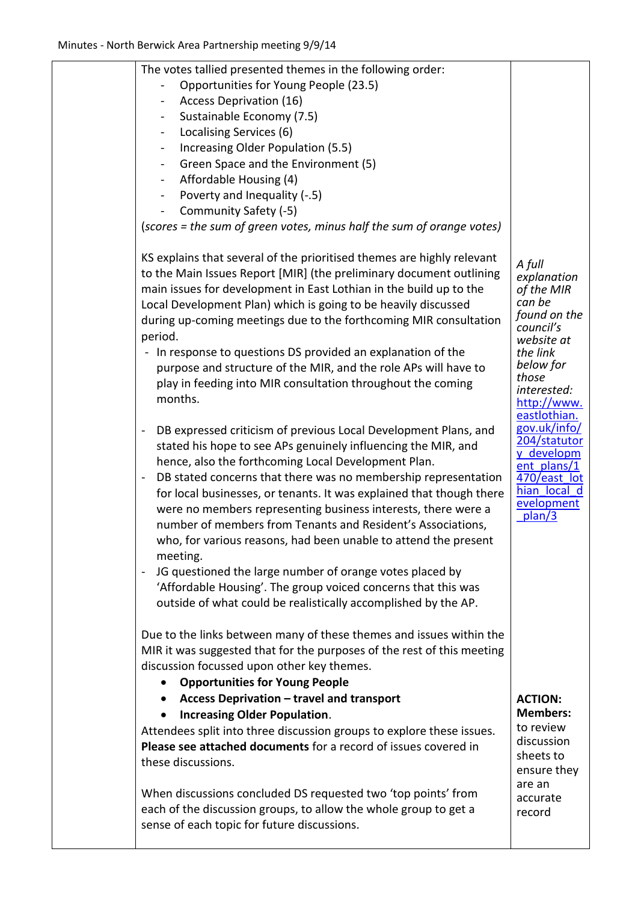| The votes tallied presented themes in the following order:<br>Opportunities for Young People (23.5)<br><b>Access Deprivation (16)</b><br>Sustainable Economy (7.5)<br>Localising Services (6)<br>$\blacksquare$<br>Increasing Older Population (5.5)<br>Green Space and the Environment (5)<br>$\blacksquare$<br>Affordable Housing (4)<br>Poverty and Inequality (-.5)<br>Community Safety (-5)<br>(scores = the sum of green votes, minus half the sum of orange votes)<br>KS explains that several of the prioritised themes are highly relevant<br>to the Main Issues Report [MIR] (the preliminary document outlining<br>main issues for development in East Lothian in the build up to the<br>Local Development Plan) which is going to be heavily discussed<br>during up-coming meetings due to the forthcoming MIR consultation<br>period.<br>- In response to questions DS provided an explanation of the<br>purpose and structure of the MIR, and the role APs will have to<br>play in feeding into MIR consultation throughout the coming<br>months.<br>DB expressed criticism of previous Local Development Plans, and<br>stated his hope to see APs genuinely influencing the MIR, and<br>hence, also the forthcoming Local Development Plan.<br>DB stated concerns that there was no membership representation<br>$\overline{\phantom{a}}$<br>for local businesses, or tenants. It was explained that though there<br>were no members representing business interests, there were a<br>number of members from Tenants and Resident's Associations,<br>who, for various reasons, had been unable to attend the present<br>meeting.<br>JG questioned the large number of orange votes placed by<br>'Affordable Housing'. The group voiced concerns that this was<br>outside of what could be realistically accomplished by the AP.<br>Due to the links between many of these themes and issues within the<br>MIR it was suggested that for the purposes of the rest of this meeting<br>discussion focussed upon other key themes.<br><b>Opportunities for Young People</b> | A full<br>explanation<br>of the MIR<br>can be<br>found on the<br>council's<br>website at<br>the link<br>below for<br>those<br>interested:<br>http://www.<br>eastlothian.<br>gov.uk/info/<br>204/statutor<br>y developm<br>ent plans/1<br>470/east lot<br>hian local d<br>evelopment<br>plan/3 |
|----------------------------------------------------------------------------------------------------------------------------------------------------------------------------------------------------------------------------------------------------------------------------------------------------------------------------------------------------------------------------------------------------------------------------------------------------------------------------------------------------------------------------------------------------------------------------------------------------------------------------------------------------------------------------------------------------------------------------------------------------------------------------------------------------------------------------------------------------------------------------------------------------------------------------------------------------------------------------------------------------------------------------------------------------------------------------------------------------------------------------------------------------------------------------------------------------------------------------------------------------------------------------------------------------------------------------------------------------------------------------------------------------------------------------------------------------------------------------------------------------------------------------------------------------------------------------------------------------------------------------------------------------------------------------------------------------------------------------------------------------------------------------------------------------------------------------------------------------------------------------------------------------------------------------------------------------------------------------------------------------------------------------------------------------------------------------------------|-----------------------------------------------------------------------------------------------------------------------------------------------------------------------------------------------------------------------------------------------------------------------------------------------|
| Access Deprivation - travel and transport<br><b>Increasing Older Population.</b><br>Attendees split into three discussion groups to explore these issues.<br>Please see attached documents for a record of issues covered in<br>these discussions.                                                                                                                                                                                                                                                                                                                                                                                                                                                                                                                                                                                                                                                                                                                                                                                                                                                                                                                                                                                                                                                                                                                                                                                                                                                                                                                                                                                                                                                                                                                                                                                                                                                                                                                                                                                                                                     | <b>ACTION:</b><br><b>Members:</b><br>to review<br>discussion<br>sheets to<br>ensure they<br>are an                                                                                                                                                                                            |
| When discussions concluded DS requested two 'top points' from<br>each of the discussion groups, to allow the whole group to get a<br>sense of each topic for future discussions.                                                                                                                                                                                                                                                                                                                                                                                                                                                                                                                                                                                                                                                                                                                                                                                                                                                                                                                                                                                                                                                                                                                                                                                                                                                                                                                                                                                                                                                                                                                                                                                                                                                                                                                                                                                                                                                                                                       | accurate<br>record                                                                                                                                                                                                                                                                            |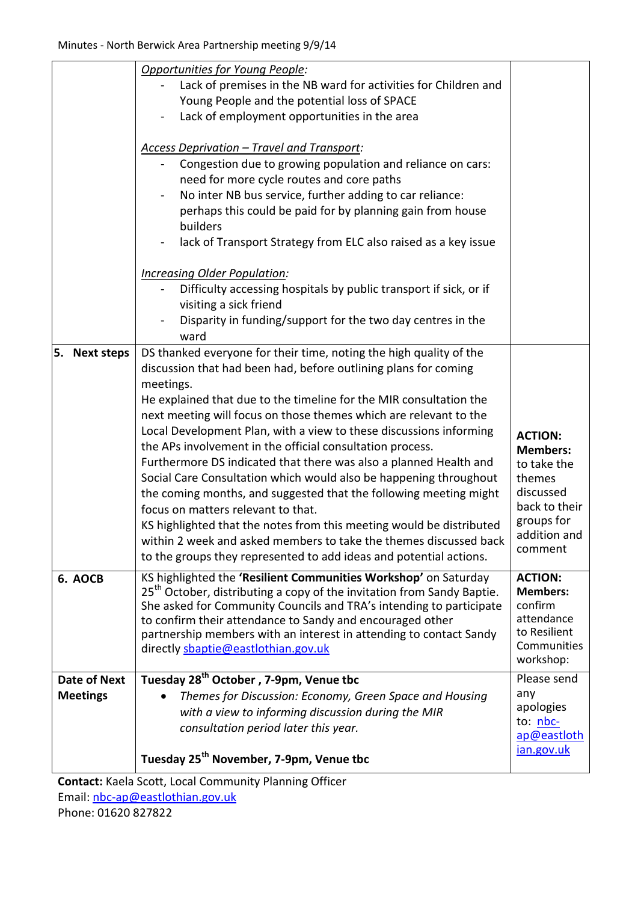| Opportunities for Young People:                                                     |                         |
|-------------------------------------------------------------------------------------|-------------------------|
| Lack of premises in the NB ward for activities for Children and                     |                         |
| Young People and the potential loss of SPACE                                        |                         |
| Lack of employment opportunities in the area                                        |                         |
|                                                                                     |                         |
| <b>Access Deprivation - Travel and Transport:</b>                                   |                         |
| Congestion due to growing population and reliance on cars:                          |                         |
| need for more cycle routes and core paths                                           |                         |
| No inter NB bus service, further adding to car reliance:                            |                         |
| perhaps this could be paid for by planning gain from house                          |                         |
| builders                                                                            |                         |
| lack of Transport Strategy from ELC also raised as a key issue<br>$\blacksquare$    |                         |
|                                                                                     |                         |
| <b>Increasing Older Population:</b>                                                 |                         |
| Difficulty accessing hospitals by public transport if sick, or if                   |                         |
| visiting a sick friend                                                              |                         |
| Disparity in funding/support for the two day centres in the                         |                         |
| ward                                                                                |                         |
| DS thanked everyone for their time, noting the high quality of the<br>5. Next steps |                         |
| discussion that had been had, before outlining plans for coming                     |                         |
| meetings.                                                                           |                         |
| He explained that due to the timeline for the MIR consultation the                  |                         |
| next meeting will focus on those themes which are relevant to the                   |                         |
| Local Development Plan, with a view to these discussions informing                  | <b>ACTION:</b>          |
| the APs involvement in the official consultation process.                           | <b>Members:</b>         |
| Furthermore DS indicated that there was also a planned Health and                   | to take the             |
| Social Care Consultation which would also be happening throughout                   | themes                  |
| the coming months, and suggested that the following meeting might                   | discussed               |
| focus on matters relevant to that.                                                  | back to their           |
| KS highlighted that the notes from this meeting would be distributed                | groups for              |
| within 2 week and asked members to take the themes discussed back                   | addition and<br>comment |
| to the groups they represented to add ideas and potential actions.                  |                         |
| KS highlighted the 'Resilient Communities Workshop' on Saturday<br>6. AOCB          | <b>ACTION:</b>          |
| 25 <sup>th</sup> October, distributing a copy of the invitation from Sandy Baptie.  | <b>Members:</b>         |
| She asked for Community Councils and TRA's intending to participate                 | confirm                 |
| to confirm their attendance to Sandy and encouraged other                           | attendance              |
|                                                                                     | to Resilient            |
| partnership members with an interest in attending to contact Sandy                  |                         |
| directly shaptie@eastlothian.gov.uk                                                 | Communities             |
|                                                                                     | workshop:               |
| Tuesday 28 <sup>th</sup> October, 7-9pm, Venue tbc<br><b>Date of Next</b>           | Please send             |
| <b>Meetings</b><br>Themes for Discussion: Economy, Green Space and Housing          | any                     |
| with a view to informing discussion during the MIR                                  | apologies               |
| consultation period later this year.                                                | to: nbc-<br>ap@eastloth |
| Tuesday 25 <sup>th</sup> November, 7-9pm, Venue tbc                                 | jan.gov.uk              |

**Contact:** Kaela Scott, Local Community Planning Officer Email: [nbc-ap@eastlothian.gov.uk](mailto:nbc-ap@eastlothian.gov.uk) Phone: 01620 827822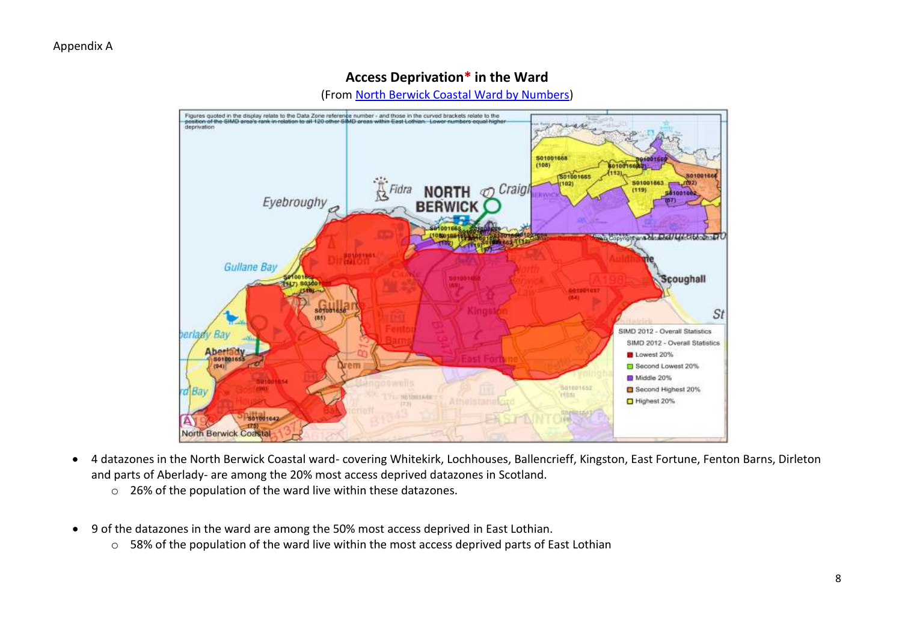## **Access Deprivation\* in the Ward**

(From [North Berwick Coastal Ward by Numbers\)](http://www.eastlothian.gov.uk/downloads/file/7349/north_berwick_coastal_ward_profile_september_2013)



- 4 datazones in the North Berwick Coastal ward- covering Whitekirk, Lochhouses, Ballencrieff, Kingston, East Fortune, Fenton Barns, Dirleton and parts of Aberlady- are among the 20% most access deprived datazones in Scotland.
	- o 26% of the population of the ward live within these datazones.
- 9 of the datazones in the ward are among the 50% most access deprived in East Lothian.
	- o 58% of the population of the ward live within the most access deprived parts of East Lothian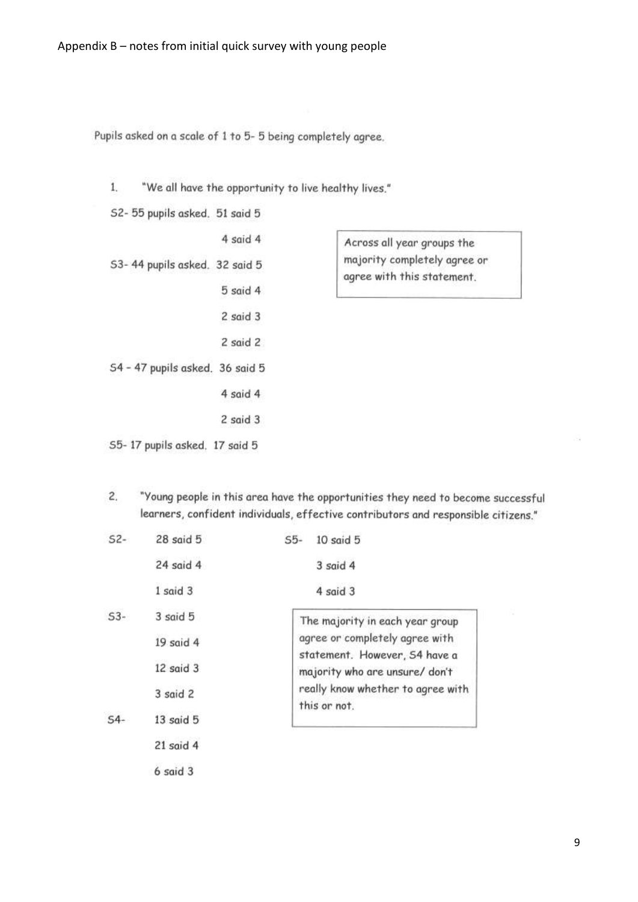Pupils asked on a scale of 1 to 5-5 being completely agree.

 $1<sub>1</sub>$ "We all have the opportunity to live healthy lives."

2 said 3

- S2-55 pupils asked. 51 said 5
- 4 said 4 S3-44 pupils asked. 32 said 5 5 said 4  $2$  said  $3$ 2 said 2 S4 - 47 pupils asked. 36 said 5 4 said 4

Across all year groups the majority completely agree or agree with this statement.

- S5-17 pupils asked. 17 said 5
- $\overline{2}$ "Young people in this area have the opportunities they need to become successful learners, confident individuals, effective contributors and responsible citizens."

| $52-$ | $28$ said $5$ | 10 said 5<br>$S5-$                                              |
|-------|---------------|-----------------------------------------------------------------|
|       | 24 said 4     | 3 said 4                                                        |
|       | 1 said 3      | 4 said 3                                                        |
| $53-$ | 3 said 5      | The majority in each year group                                 |
|       | $19$ said $4$ | agree or completely agree with<br>statement. However, S4 have a |
|       | 12 said 3     | majority who are unsure/ don't                                  |
|       | 3 said 2      | really know whether to agree with<br>this or not.               |
| $54-$ | $13$ said $5$ |                                                                 |
|       | $21$ said 4   |                                                                 |
|       | $6$ said $3$  |                                                                 |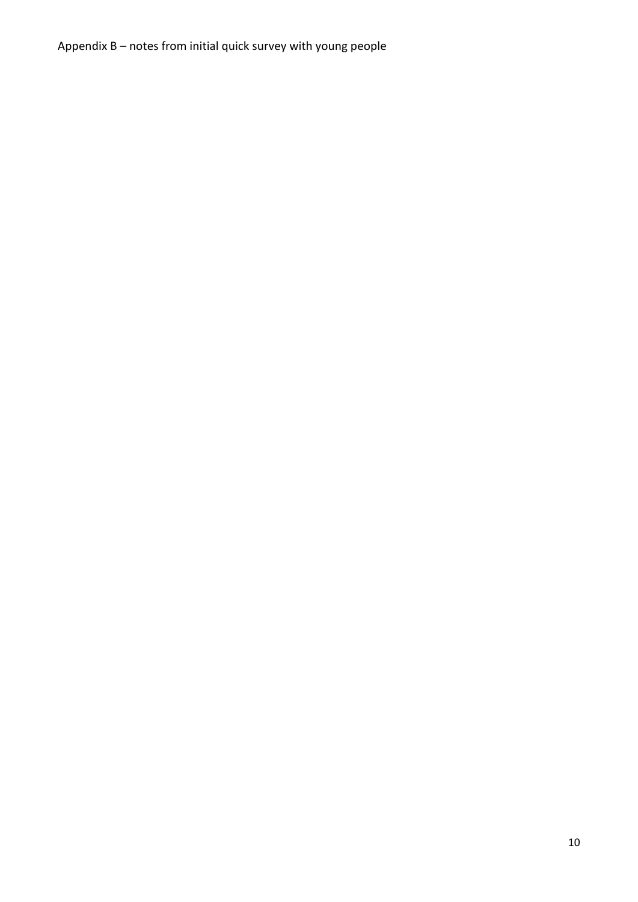Appendix B – notes from initial quick survey with young people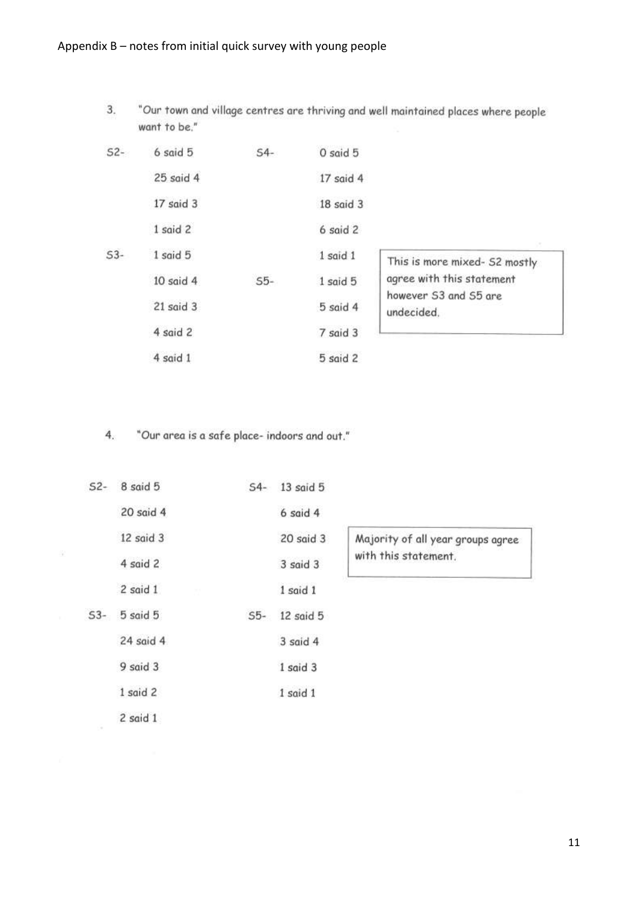"Our town and village centres are thriving and well maintained places where people 3. want to be."

| $52-$ | 6 said 5      | $S4-$ | 0 said 5     |  |
|-------|---------------|-------|--------------|--|
|       | $25$ said $4$ |       | 17 said 4    |  |
|       | 17 said 3     |       | 18 said 3    |  |
|       | 1 said 2      |       | $6$ said $2$ |  |
| $53-$ | 1 said 5      |       | 1 said 1     |  |
|       | $10$ said $4$ | $55-$ | 1 said 5     |  |
|       | $21$ said $3$ |       | 5 said 4     |  |
|       | 4 said 2      |       | 7 said 3     |  |
|       | 4 said 1      |       | 5 said 2     |  |

This is more mixed- S2 mostly agree with this statement however S3 and S5 are undecided.

"Our area is a safe place- indoors and out."  $4<sub>1</sub>$ 

废

| $S2-$ | 8 said 5  | $54-$ | 13 said 5     |                                   |
|-------|-----------|-------|---------------|-----------------------------------|
|       | 20 said 4 |       | $6$ said $4$  |                                   |
|       | 12 said 3 |       | $20$ said $3$ | Majority of all year groups agree |
|       | 4 said 2  |       | 3 said 3      | with this statement.              |
|       | 2 said 1  |       | 1 said 1      |                                   |
| $53-$ | 5 said 5  | $S5-$ | 12 said 5     |                                   |
|       | 24 said 4 |       | 3 said 4      |                                   |
|       | 9 said 3  |       | 1 said 3      |                                   |
|       | 1 said 2  |       | 1 said 1      |                                   |
|       | 2 said 1  |       |               |                                   |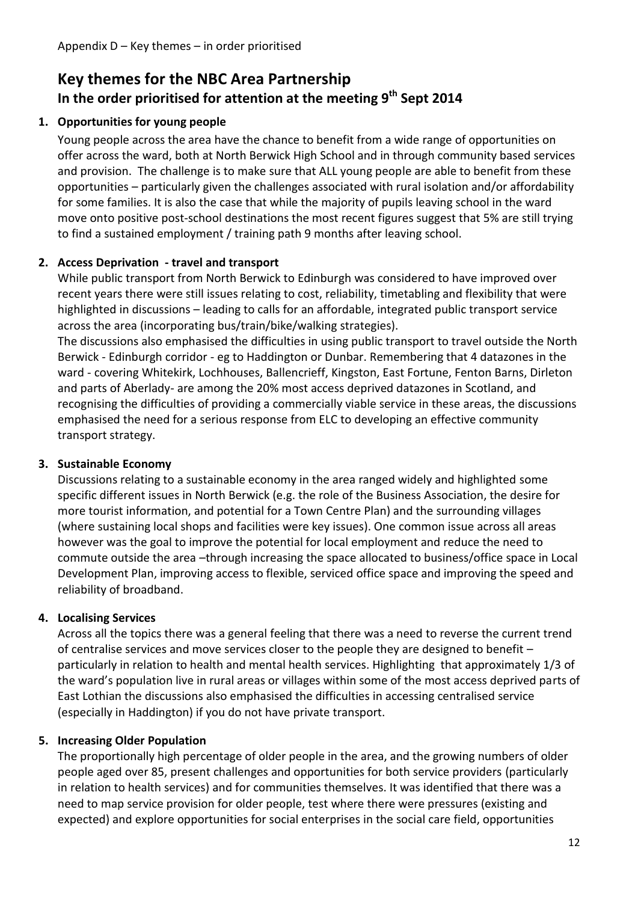# **Key themes for the NBC Area Partnership In the order prioritised for attention at the meeting 9 th Sept 2014**

#### **1. Opportunities for young people**

Young people across the area have the chance to benefit from a wide range of opportunities on offer across the ward, both at North Berwick High School and in through community based services and provision. The challenge is to make sure that ALL young people are able to benefit from these opportunities – particularly given the challenges associated with rural isolation and/or affordability for some families. It is also the case that while the majority of pupils leaving school in the ward move onto positive post-school destinations the most recent figures suggest that 5% are still trying to find a sustained employment / training path 9 months after leaving school.

#### **2. Access Deprivation - travel and transport**

While public transport from North Berwick to Edinburgh was considered to have improved over recent years there were still issues relating to cost, reliability, timetabling and flexibility that were highlighted in discussions – leading to calls for an affordable, integrated public transport service across the area (incorporating bus/train/bike/walking strategies).

The discussions also emphasised the difficulties in using public transport to travel outside the North Berwick - Edinburgh corridor - eg to Haddington or Dunbar. Remembering that 4 datazones in the ward - covering Whitekirk, Lochhouses, Ballencrieff, Kingston, East Fortune, Fenton Barns, Dirleton and parts of Aberlady- are among the 20% most access deprived datazones in Scotland, and recognising the difficulties of providing a commercially viable service in these areas, the discussions emphasised the need for a serious response from ELC to developing an effective community transport strategy.

#### **3. Sustainable Economy**

Discussions relating to a sustainable economy in the area ranged widely and highlighted some specific different issues in North Berwick (e.g. the role of the Business Association, the desire for more tourist information, and potential for a Town Centre Plan) and the surrounding villages (where sustaining local shops and facilities were key issues). One common issue across all areas however was the goal to improve the potential for local employment and reduce the need to commute outside the area –through increasing the space allocated to business/office space in Local Development Plan, improving access to flexible, serviced office space and improving the speed and reliability of broadband.

## **4. Localising Services**

Across all the topics there was a general feeling that there was a need to reverse the current trend of centralise services and move services closer to the people they are designed to benefit – particularly in relation to health and mental health services. Highlighting that approximately 1/3 of the ward's population live in rural areas or villages within some of the most access deprived parts of East Lothian the discussions also emphasised the difficulties in accessing centralised service (especially in Haddington) if you do not have private transport.

#### **5. Increasing Older Population**

The proportionally high percentage of older people in the area, and the growing numbers of older people aged over 85, present challenges and opportunities for both service providers (particularly in relation to health services) and for communities themselves. It was identified that there was a need to map service provision for older people, test where there were pressures (existing and expected) and explore opportunities for social enterprises in the social care field, opportunities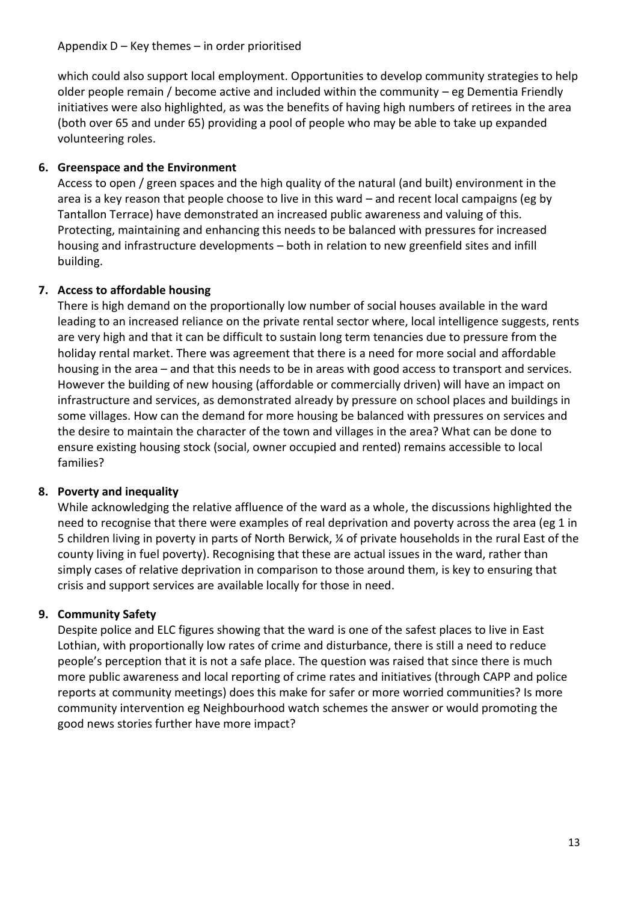which could also support local employment. Opportunities to develop community strategies to help older people remain / become active and included within the community – eg Dementia Friendly initiatives were also highlighted, as was the benefits of having high numbers of retirees in the area (both over 65 and under 65) providing a pool of people who may be able to take up expanded volunteering roles.

## **6. Greenspace and the Environment**

Access to open / green spaces and the high quality of the natural (and built) environment in the area is a key reason that people choose to live in this ward – and recent local campaigns (eg by Tantallon Terrace) have demonstrated an increased public awareness and valuing of this. Protecting, maintaining and enhancing this needs to be balanced with pressures for increased housing and infrastructure developments – both in relation to new greenfield sites and infill building.

## **7. Access to affordable housing**

There is high demand on the proportionally low number of social houses available in the ward leading to an increased reliance on the private rental sector where, local intelligence suggests, rents are very high and that it can be difficult to sustain long term tenancies due to pressure from the holiday rental market. There was agreement that there is a need for more social and affordable housing in the area – and that this needs to be in areas with good access to transport and services. However the building of new housing (affordable or commercially driven) will have an impact on infrastructure and services, as demonstrated already by pressure on school places and buildings in some villages. How can the demand for more housing be balanced with pressures on services and the desire to maintain the character of the town and villages in the area? What can be done to ensure existing housing stock (social, owner occupied and rented) remains accessible to local families?

## **8. Poverty and inequality**

While acknowledging the relative affluence of the ward as a whole, the discussions highlighted the need to recognise that there were examples of real deprivation and poverty across the area (eg 1 in 5 children living in poverty in parts of North Berwick, ¼ of private households in the rural East of the county living in fuel poverty). Recognising that these are actual issues in the ward, rather than simply cases of relative deprivation in comparison to those around them, is key to ensuring that crisis and support services are available locally for those in need.

# **9. Community Safety**

Despite police and ELC figures showing that the ward is one of the safest places to live in East Lothian, with proportionally low rates of crime and disturbance, there is still a need to reduce people's perception that it is not a safe place. The question was raised that since there is much more public awareness and local reporting of crime rates and initiatives (through CAPP and police reports at community meetings) does this make for safer or more worried communities? Is more community intervention eg Neighbourhood watch schemes the answer or would promoting the good news stories further have more impact?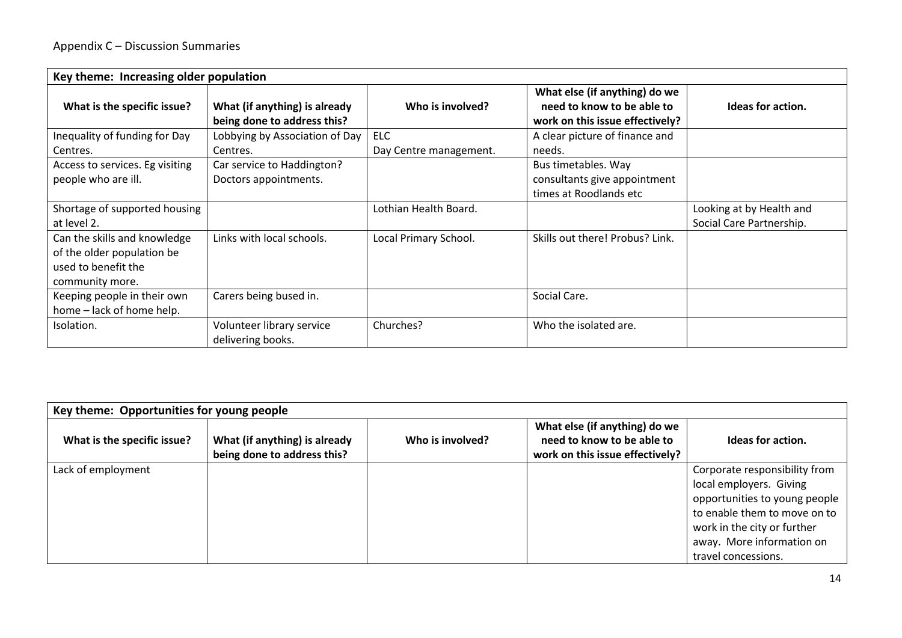| Key theme: Increasing older population |                                                              |                        |                                                                                                |                          |  |  |
|----------------------------------------|--------------------------------------------------------------|------------------------|------------------------------------------------------------------------------------------------|--------------------------|--|--|
| What is the specific issue?            | What (if anything) is already<br>being done to address this? | Who is involved?       | What else (if anything) do we<br>need to know to be able to<br>work on this issue effectively? | Ideas for action.        |  |  |
| Inequality of funding for Day          | Lobbying by Association of Day                               | <b>ELC</b>             | A clear picture of finance and                                                                 |                          |  |  |
| Centres.                               | Centres.                                                     | Day Centre management. | needs.                                                                                         |                          |  |  |
| Access to services. Eg visiting        | Car service to Haddington?                                   |                        | Bus timetables. Way                                                                            |                          |  |  |
| people who are ill.                    | Doctors appointments.                                        |                        | consultants give appointment                                                                   |                          |  |  |
|                                        |                                                              |                        | times at Roodlands etc                                                                         |                          |  |  |
| Shortage of supported housing          |                                                              | Lothian Health Board.  |                                                                                                | Looking at by Health and |  |  |
| at level 2.                            |                                                              |                        |                                                                                                | Social Care Partnership. |  |  |
| Can the skills and knowledge           | Links with local schools.                                    | Local Primary School.  | Skills out there! Probus? Link.                                                                |                          |  |  |
| of the older population be             |                                                              |                        |                                                                                                |                          |  |  |
| used to benefit the                    |                                                              |                        |                                                                                                |                          |  |  |
| community more.                        |                                                              |                        |                                                                                                |                          |  |  |
| Keeping people in their own            | Carers being bused in.                                       |                        | Social Care.                                                                                   |                          |  |  |
| home - lack of home help.              |                                                              |                        |                                                                                                |                          |  |  |
| Isolation.                             | Volunteer library service                                    | Churches?              | Who the isolated are.                                                                          |                          |  |  |
|                                        | delivering books.                                            |                        |                                                                                                |                          |  |  |

| Key theme: Opportunities for young people |                                                              |                  |                                                                                                |                                                                                                                                                                                                              |  |
|-------------------------------------------|--------------------------------------------------------------|------------------|------------------------------------------------------------------------------------------------|--------------------------------------------------------------------------------------------------------------------------------------------------------------------------------------------------------------|--|
| What is the specific issue?               | What (if anything) is already<br>being done to address this? | Who is involved? | What else (if anything) do we<br>need to know to be able to<br>work on this issue effectively? | Ideas for action.                                                                                                                                                                                            |  |
| Lack of employment                        |                                                              |                  |                                                                                                | Corporate responsibility from<br>local employers. Giving<br>opportunities to young people<br>to enable them to move on to<br>work in the city or further<br>away. More information on<br>travel concessions. |  |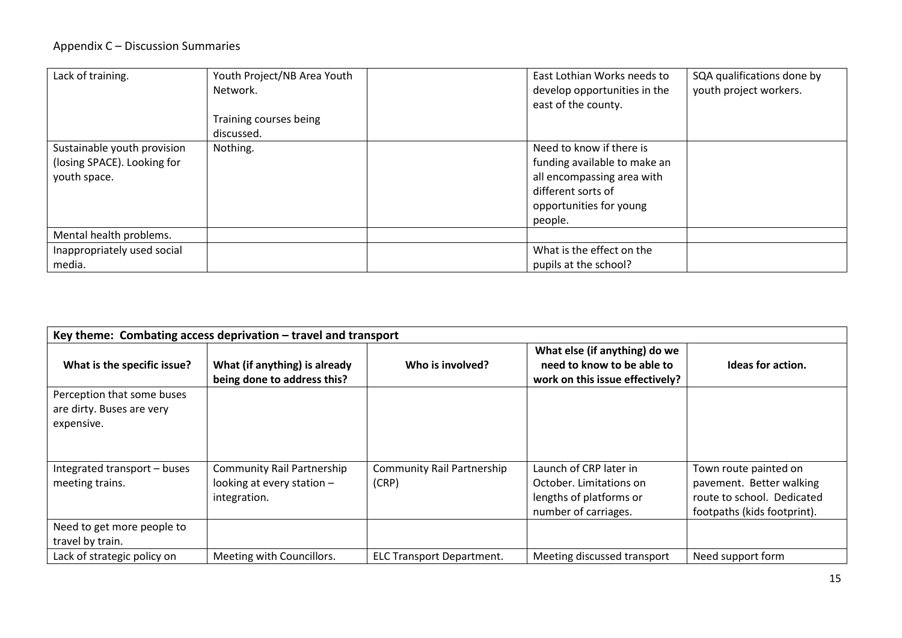#### Appendix C – Discussion Summaries

| Lack of training.                                                          | Youth Project/NB Area Youth<br>Network.<br>Training courses being<br>discussed. | East Lothian Works needs to<br>develop opportunities in the<br>east of the county.                                                                 | SQA qualifications done by<br>youth project workers. |
|----------------------------------------------------------------------------|---------------------------------------------------------------------------------|----------------------------------------------------------------------------------------------------------------------------------------------------|------------------------------------------------------|
| Sustainable youth provision<br>(losing SPACE). Looking for<br>youth space. | Nothing.                                                                        | Need to know if there is<br>funding available to make an<br>all encompassing area with<br>different sorts of<br>opportunities for young<br>people. |                                                      |
| Mental health problems.                                                    |                                                                                 |                                                                                                                                                    |                                                      |
| Inappropriately used social                                                |                                                                                 | What is the effect on the                                                                                                                          |                                                      |
| media.                                                                     |                                                                                 | pupils at the school?                                                                                                                              |                                                      |

| Key theme: Combating access deprivation $-$ travel and transport      |                                                                                 |                                            |                                                                                                      |                                                                                                                |  |  |  |
|-----------------------------------------------------------------------|---------------------------------------------------------------------------------|--------------------------------------------|------------------------------------------------------------------------------------------------------|----------------------------------------------------------------------------------------------------------------|--|--|--|
| What is the specific issue?                                           | What (if anything) is already<br>being done to address this?                    | Who is involved?                           | What else (if anything) do we<br>need to know to be able to<br>work on this issue effectively?       | Ideas for action.                                                                                              |  |  |  |
| Perception that some buses<br>are dirty. Buses are very<br>expensive. |                                                                                 |                                            |                                                                                                      |                                                                                                                |  |  |  |
| Integrated transport - buses<br>meeting trains.                       | <b>Community Rail Partnership</b><br>looking at every station -<br>integration. | <b>Community Rail Partnership</b><br>(CRP) | Launch of CRP later in<br>October. Limitations on<br>lengths of platforms or<br>number of carriages. | Town route painted on<br>pavement. Better walking<br>route to school. Dedicated<br>footpaths (kids footprint). |  |  |  |
| Need to get more people to<br>travel by train.                        |                                                                                 |                                            |                                                                                                      |                                                                                                                |  |  |  |
| Lack of strategic policy on                                           | Meeting with Councillors.                                                       | <b>ELC Transport Department.</b>           | Meeting discussed transport                                                                          | Need support form                                                                                              |  |  |  |